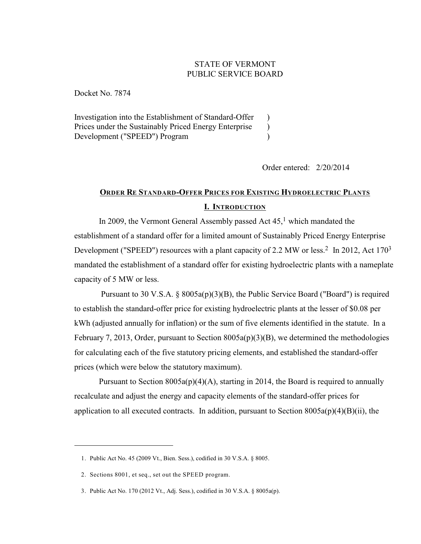# STATE OF VERMONT PUBLIC SERVICE BOARD

Docket No. 7874

Investigation into the Establishment of Standard-Offer Prices under the Sustainably Priced Energy Enterprise Development ("SPEED") Program  $\lambda$  $\lambda$ )

Order entered: 2/20/2014

# **ORDER RE STANDARD-OFFER PRICES FOR EXISTING HYDROELECTRIC PLANTS I. INTRODUCTION**

In 2009, the Vermont General Assembly passed Act  $45<sup>1</sup>$  which mandated the establishment of a standard offer for a limited amount of Sustainably Priced Energy Enterprise Development ("SPEED") resources with a plant capacity of 2.2 MW or less.<sup>2</sup> In 2012, Act 170<sup>3</sup> mandated the establishment of a standard offer for existing hydroelectric plants with a nameplate capacity of 5 MW or less.

Pursuant to 30 V.S.A.  $\S$  8005a(p)(3)(B), the Public Service Board ("Board") is required to establish the standard-offer price for existing hydroelectric plants at the lesser of \$0.08 per kWh (adjusted annually for inflation) or the sum of five elements identified in the statute. In a February 7, 2013, Order, pursuant to Section 8005a(p)(3)(B), we determined the methodologies for calculating each of the five statutory pricing elements, and established the standard-offer prices (which were below the statutory maximum).

Pursuant to Section  $8005a(p)(4)(A)$ , starting in 2014, the Board is required to annually recalculate and adjust the energy and capacity elements of the standard-offer prices for application to all executed contracts. In addition, pursuant to Section  $8005a(p)(4)(B)(ii)$ , the

<sup>1.</sup> Public Act No. 45 (2009 Vt., Bien. Sess.), codified in 30 V.S.A. § 8005.

<sup>2.</sup> Sections 8001, et seq., set out the SPEED program.

<sup>3.</sup> Public Act No. 170 (2012 Vt., Adj. Sess.), codified in 30 V.S.A. § 8005a(p).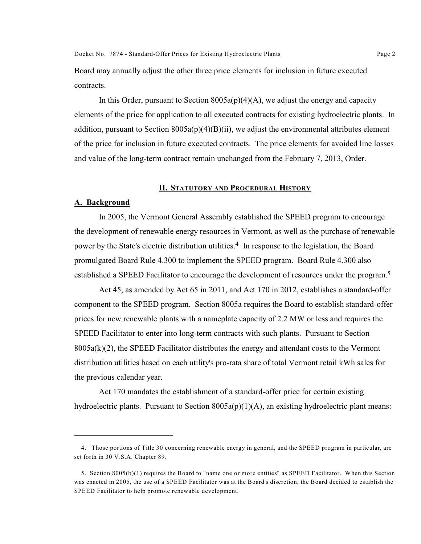Docket No. 7874 - Standard-Offer Prices for Existing Hydroelectric Plants Page 2

Board may annually adjust the other three price elements for inclusion in future executed contracts.

In this Order, pursuant to Section  $8005a(p)(4)(A)$ , we adjust the energy and capacity elements of the price for application to all executed contracts for existing hydroelectric plants. In addition, pursuant to Section  $8005a(p)(4)(B)(ii)$ , we adjust the environmental attributes element of the price for inclusion in future executed contracts. The price elements for avoided line losses and value of the long-term contract remain unchanged from the February 7, 2013, Order.

#### **II. STATUTORY AND PROCEDURAL HISTORY**

#### **A. Background**

In 2005, the Vermont General Assembly established the SPEED program to encourage the development of renewable energy resources in Vermont, as well as the purchase of renewable power by the State's electric distribution utilities.<sup>4</sup> In response to the legislation, the Board promulgated Board Rule 4.300 to implement the SPEED program. Board Rule 4.300 also established a SPEED Facilitator to encourage the development of resources under the program.<sup>5</sup>

Act 45, as amended by Act 65 in 2011, and Act 170 in 2012, establishes a standard-offer component to the SPEED program. Section 8005a requires the Board to establish standard-offer prices for new renewable plants with a nameplate capacity of 2.2 MW or less and requires the SPEED Facilitator to enter into long-term contracts with such plants. Pursuant to Section  $8005a(k)(2)$ , the SPEED Facilitator distributes the energy and attendant costs to the Vermont distribution utilities based on each utility's pro-rata share of total Vermont retail kWh sales for the previous calendar year.

Act 170 mandates the establishment of a standard-offer price for certain existing hydroelectric plants. Pursuant to Section  $8005a(p)(1)(A)$ , an existing hydroelectric plant means:

<sup>4.</sup> Those portions of Title 30 concerning renewable energy in general, and the SPEED program in particular, are set forth in 30 V.S.A. Chapter 89.

<sup>5.</sup> Section 8005(b)(1) requires the Board to "name one or more entities" as SPEED Facilitator. When this Section was enacted in 2005, the use of a SPEED Facilitator was at the Board's discretion; the Board decided to establish the SPEED Facilitator to help promote renewable development.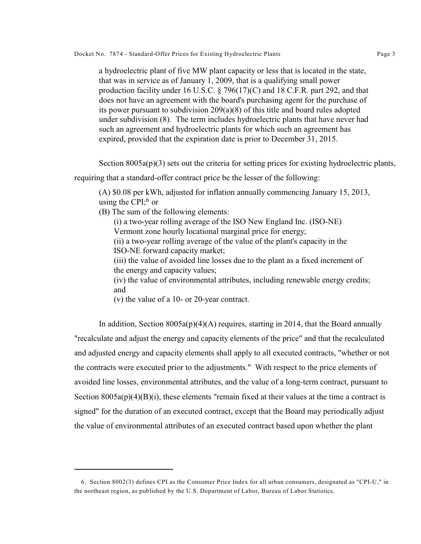a hydroelectric plant of five MW plant capacity or less that is located in the state, that was in service as of January 1, 2009, that is a qualifying small power production facility under 16 U.S.C. § 796(17)(C) and 18 C.F.R. part 292, and that does not have an agreement with the board's purchasing agent for the purchase of its power pursuant to subdivision 209(a)(8) of this title and board rules adopted under subdivision (8). The term includes hydroelectric plants that have never had such an agreement and hydroelectric plants for which such an agreement has expired, provided that the expiration date is prior to December 31, 2015.

Section  $8005a(p)(3)$  sets out the criteria for setting prices for existing hydroelectric plants,

requiring that a standard-offer contract price be the lesser of the following:

(A) \$0.08 per kWh, adjusted for inflation annually commencing January 15, 2013, using the CPI; $6 \text{ or }$ 

(B) The sum of the following elements:

(i) a two-year rolling average of the ISO New England Inc. (ISO-NE) Vermont zone hourly locational marginal price for energy;

(ii) a two-year rolling average of the value of the plant's capacity in the ISO-NE forward capacity market;

(iii) the value of avoided line losses due to the plant as a fixed increment of the energy and capacity values;

(iv) the value of environmental attributes, including renewable energy credits; and

(v) the value of a 10- or 20-year contract.

In addition, Section  $8005a(p)(4)(A)$  requires, starting in 2014, that the Board annually "recalculate and adjust the energy and capacity elements of the price" and that the recalculated and adjusted energy and capacity elements shall apply to all executed contracts, "whether or not the contracts were executed prior to the adjustments." With respect to the price elements of avoided line losses, environmental attributes, and the value of a long-term contract, pursuant to Section  $8005a(p)(4)(B)(i)$ , these elements "remain fixed at their values at the time a contract is signed" for the duration of an executed contract, except that the Board may periodically adjust the value of environmental attributes of an executed contract based upon whether the plant

<sup>6.</sup> Section 8002(3) defines CPI as the Consumer Price Index for all urban consumers, designated as "CPI-U," in the northeast region, as published by the U.S. Department of Labor, Bureau of Labor Statistics.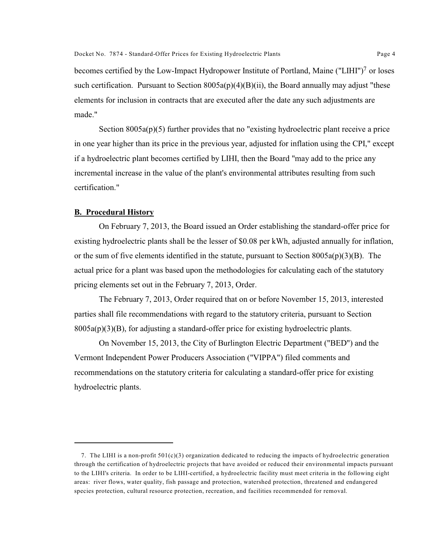becomes certified by the Low-Impact Hydropower Institute of Portland, Maine ("LIHI")<sup>7</sup> or loses such certification. Pursuant to Section  $8005a(p)(4)(B)(ii)$ , the Board annually may adjust "these elements for inclusion in contracts that are executed after the date any such adjustments are made."

Section  $8005a(p)(5)$  further provides that no "existing hydroelectric plant receive a price in one year higher than its price in the previous year, adjusted for inflation using the CPI," except if a hydroelectric plant becomes certified by LIHI, then the Board "may add to the price any incremental increase in the value of the plant's environmental attributes resulting from such certification."

### **B. Procedural History**

On February 7, 2013, the Board issued an Order establishing the standard-offer price for existing hydroelectric plants shall be the lesser of \$0.08 per kWh, adjusted annually for inflation, or the sum of five elements identified in the statute, pursuant to Section  $8005a(p)(3)(B)$ . The actual price for a plant was based upon the methodologies for calculating each of the statutory pricing elements set out in the February 7, 2013, Order.

The February 7, 2013, Order required that on or before November 15, 2013, interested parties shall file recommendations with regard to the statutory criteria, pursuant to Section  $8005a(p)(3)(B)$ , for adjusting a standard-offer price for existing hydroelectric plants.

On November 15, 2013, the City of Burlington Electric Department ("BED") and the Vermont Independent Power Producers Association ("VIPPA") filed comments and recommendations on the statutory criteria for calculating a standard-offer price for existing hydroelectric plants.

<sup>7.</sup> The LIHI is a non-profit  $501(c)(3)$  organization dedicated to reducing the impacts of hydroelectric generation through the certification of hydroelectric projects that have avoided or reduced their environmental impacts pursuant to the LIHI's criteria. In order to be LIHI-certified, a hydroelectric facility must meet criteria in the following eight areas: river flows, water quality, fish passage and protection, watershed protection, threatened and endangered species protection, cultural resource protection, recreation, and facilities recommended for removal.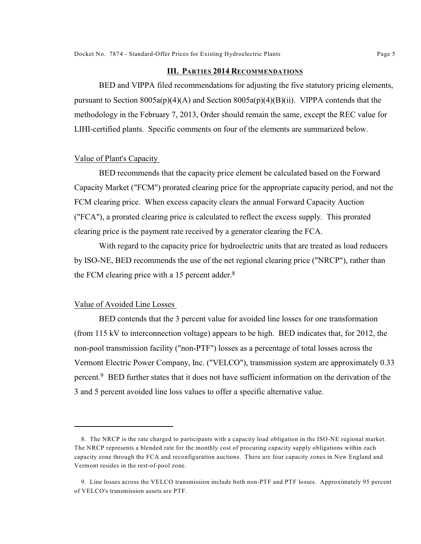#### **III. PARTIES 2014 RECOMMENDATIONS**

BED and VIPPA filed recommendations for adjusting the five statutory pricing elements, pursuant to Section 8005a(p)(4)(A) and Section 8005a(p)(4)(B)(ii). VIPPA contends that the methodology in the February 7, 2013, Order should remain the same, except the REC value for LIHI-certified plants. Specific comments on four of the elements are summarized below.

#### Value of Plant's Capacity

BED recommends that the capacity price element be calculated based on the Forward Capacity Market ("FCM") prorated clearing price for the appropriate capacity period, and not the FCM clearing price. When excess capacity clears the annual Forward Capacity Auction ("FCA"), a prorated clearing price is calculated to reflect the excess supply. This prorated clearing price is the payment rate received by a generator clearing the FCA.

With regard to the capacity price for hydroelectric units that are treated as load reducers by ISO-NE, BED recommends the use of the net regional clearing price ("NRCP"), rather than the FCM clearing price with a 15 percent adder. $8$ 

#### Value of Avoided Line Losses

BED contends that the 3 percent value for avoided line losses for one transformation (from 115 kV to interconnection voltage) appears to be high. BED indicates that, for 2012, the non-pool transmission facility ("non-PTF") losses as a percentage of total losses across the Vermont Electric Power Company, Inc. ("VELCO"), transmission system are approximately 0.33 percent. BED further states that it does not have sufficient information on the derivation of the 3 and 5 percent avoided line loss values to offer a specific alternative value.

<sup>8.</sup> The NRCP is the rate charged to participants with a capacity load obligation in the ISO-NE regional market. The NRCP represents a blended rate for the monthly cost of procuring capacity supply obligations within each capacity zone through the FCA and reconfiguration auctions. There are four capacity zones in New England and Vermont resides in the rest-of-pool zone.

<sup>9.</sup> Line losses across the VELCO transmission include both non-PTF and PTF losses. Approximately 95 percent of VELCO's transmission assets are PTF.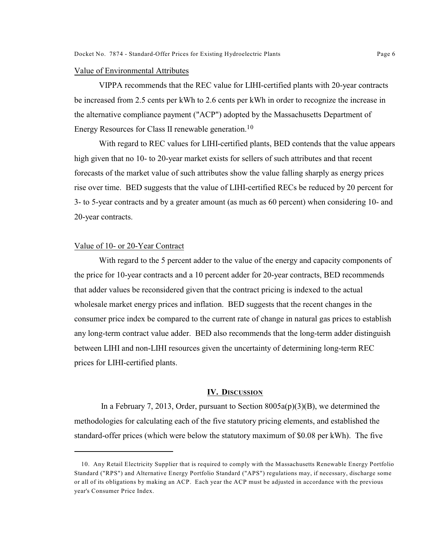#### Value of Environmental Attributes

VIPPA recommends that the REC value for LIHI-certified plants with 20-year contracts be increased from 2.5 cents per kWh to 2.6 cents per kWh in order to recognize the increase in the alternative compliance payment ("ACP") adopted by the Massachusetts Department of Energy Resources for Class II renewable generation.<sup>10</sup>

With regard to REC values for LIHI-certified plants, BED contends that the value appears high given that no 10- to 20-year market exists for sellers of such attributes and that recent forecasts of the market value of such attributes show the value falling sharply as energy prices rise over time. BED suggests that the value of LIHI-certified RECs be reduced by 20 percent for 3- to 5-year contracts and by a greater amount (as much as 60 percent) when considering 10- and 20-year contracts.

#### Value of 10- or 20-Year Contract

With regard to the 5 percent adder to the value of the energy and capacity components of the price for 10-year contracts and a 10 percent adder for 20-year contracts, BED recommends that adder values be reconsidered given that the contract pricing is indexed to the actual wholesale market energy prices and inflation. BED suggests that the recent changes in the consumer price index be compared to the current rate of change in natural gas prices to establish any long-term contract value adder. BED also recommends that the long-term adder distinguish between LIHI and non-LIHI resources given the uncertainty of determining long-term REC prices for LIHI-certified plants.

#### **IV. DISCUSSION**

In a February 7, 2013, Order, pursuant to Section  $8005a(p)(3)(B)$ , we determined the methodologies for calculating each of the five statutory pricing elements, and established the standard-offer prices (which were below the statutory maximum of \$0.08 per kWh). The five

<sup>10.</sup> Any Retail Electricity Supplier that is required to comply with the Massachusetts Renewable Energy Portfolio Standard ("RPS") and Alternative Energy Portfolio Standard ("APS") regulations may, if necessary, discharge some or all of its obligations by making an ACP. Each year the ACP must be adjusted in accordance with the previous year's Consumer Price Index.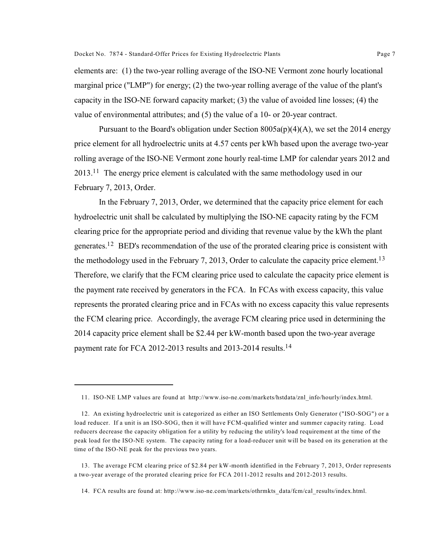elements are: (1) the two-year rolling average of the ISO-NE Vermont zone hourly locational marginal price ("LMP") for energy; (2) the two-year rolling average of the value of the plant's capacity in the ISO-NE forward capacity market; (3) the value of avoided line losses; (4) the value of environmental attributes; and (5) the value of a 10- or 20-year contract.

Pursuant to the Board's obligation under Section  $8005a(p)(4)(A)$ , we set the 2014 energy price element for all hydroelectric units at 4.57 cents per kWh based upon the average two-year rolling average of the ISO-NE Vermont zone hourly real-time LMP for calendar years 2012 and  $2013$ .<sup>11</sup> The energy price element is calculated with the same methodology used in our February 7, 2013, Order.

In the February 7, 2013, Order, we determined that the capacity price element for each hydroelectric unit shall be calculated by multiplying the ISO-NE capacity rating by the FCM clearing price for the appropriate period and dividing that revenue value by the kWh the plant generates.<sup>12</sup> BED's recommendation of the use of the prorated clearing price is consistent with the methodology used in the February 7, 2013, Order to calculate the capacity price element.<sup>13</sup> Therefore, we clarify that the FCM clearing price used to calculate the capacity price element is the payment rate received by generators in the FCA. In FCAs with excess capacity, this value represents the prorated clearing price and in FCAs with no excess capacity this value represents the FCM clearing price. Accordingly, the average FCM clearing price used in determining the 2014 capacity price element shall be \$2.44 per kW-month based upon the two-year average payment rate for FCA 2012-2013 results and 2013-2014 results.<sup>14</sup>

<sup>11.</sup> ISO-NE LMP values are found at http://www.iso-ne.com/markets/hstdata/znl\_info/hourly/index.html.

<sup>12.</sup> An existing hydroelectric unit is categorized as either an ISO Settlements Only Generator ("ISO-SOG") or a load reducer. If a unit is an ISO-SOG, then it will have FCM-qualified winter and summer capacity rating. Load reducers decrease the capacity obligation for a utility by reducing the utility's load requirement at the time of the peak load for the ISO-NE system. The capacity rating for a load-reducer unit will be based on its generation at the time of the ISO-NE peak for the previous two years.

<sup>13.</sup> The average FCM clearing price of \$2.84 per kW-month identified in the February 7, 2013, Order represents a two-year average of the prorated clearing price for FCA 2011-2012 results and 2012-2013 results.

<sup>14.</sup> FCA results are found at: http://www.iso-ne.com/markets/othrmkts\_data/fcm/cal\_results/index.html.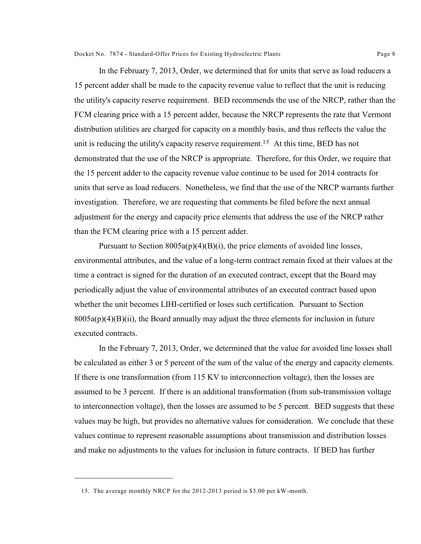In the February 7, 2013, Order, we determined that for units that serve as load reducers a 15 percent adder shall be made to the capacity revenue value to reflect that the unit is reducing the utility's capacity reserve requirement. BED recommends the use of the NRCP, rather than the FCM clearing price with a 15 percent adder, because the NRCP represents the rate that Vermont distribution utilities are charged for capacity on a monthly basis, and thus reflects the value the unit is reducing the utility's capacity reserve requirement.<sup>15</sup> At this time, BED has not demonstrated that the use of the NRCP is appropriate. Therefore, for this Order, we require that the 15 percent adder to the capacity revenue value continue to be used for 2014 contracts for units that serve as load reducers. Nonetheless, we find that the use of the NRCP warrants further investigation. Therefore, we are requesting that comments be filed before the next annual adjustment for the energy and capacity price elements that address the use of the NRCP rather than the FCM clearing price with a 15 percent adder.

Pursuant to Section  $8005a(p)(4)(B)(i)$ , the price elements of avoided line losses, environmental attributes, and the value of a long-term contract remain fixed at their values at the time a contract is signed for the duration of an executed contract, except that the Board may periodically adjust the value of environmental attributes of an executed contract based upon whether the unit becomes LIHI-certified or loses such certification. Pursuant to Section  $8005a(p)(4)(B)(ii)$ , the Board annually may adjust the three elements for inclusion in future executed contracts.

In the February 7, 2013, Order, we determined that the value for avoided line losses shall be calculated as either 3 or 5 percent of the sum of the value of the energy and capacity elements. If there is one transformation (from 115 KV to interconnection voltage), then the losses are assumed to be 3 percent. If there is an additional transformation (from sub-transmission voltage to interconnection voltage), then the losses are assumed to be 5 percent. BED suggests that these values may be high, but provides no alternative values for consideration. We conclude that these values continue to represent reasonable assumptions about transmission and distribution losses and make no adjustments to the values for inclusion in future contracts. If BED has further

<sup>15.</sup> The average monthly NRCP for the 2012-2013 period is \$3.00 per kW-month.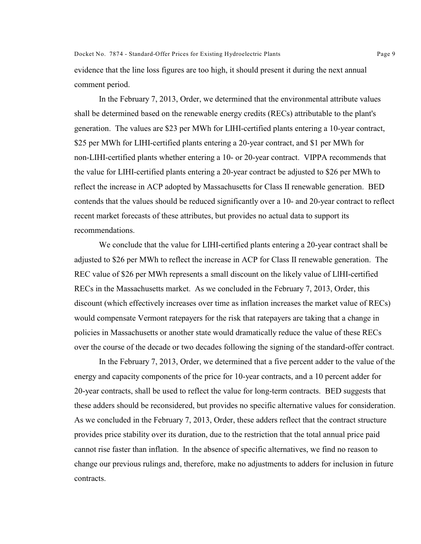evidence that the line loss figures are too high, it should present it during the next annual comment period.

In the February 7, 2013, Order, we determined that the environmental attribute values shall be determined based on the renewable energy credits (RECs) attributable to the plant's generation. The values are \$23 per MWh for LIHI-certified plants entering a 10-year contract, \$25 per MWh for LIHI-certified plants entering a 20-year contract, and \$1 per MWh for non-LIHI-certified plants whether entering a 10- or 20-year contract. VIPPA recommends that the value for LIHI-certified plants entering a 20-year contract be adjusted to \$26 per MWh to reflect the increase in ACP adopted by Massachusetts for Class II renewable generation. BED contends that the values should be reduced significantly over a 10- and 20-year contract to reflect recent market forecasts of these attributes, but provides no actual data to support its recommendations.

We conclude that the value for LIHI-certified plants entering a 20-year contract shall be adjusted to \$26 per MWh to reflect the increase in ACP for Class II renewable generation. The REC value of \$26 per MWh represents a small discount on the likely value of LlHI-certified RECs in the Massachusetts market. As we concluded in the February 7, 2013, Order, this discount (which effectively increases over time as inflation increases the market value of RECs) would compensate Vermont ratepayers for the risk that ratepayers are taking that a change in policies in Massachusetts or another state would dramatically reduce the value of these RECs over the course of the decade or two decades following the signing of the standard-offer contract.

In the February 7, 2013, Order, we determined that a five percent adder to the value of the energy and capacity components of the price for 10-year contracts, and a 10 percent adder for 20-year contracts, shall be used to reflect the value for long-term contracts. BED suggests that these adders should be reconsidered, but provides no specific alternative values for consideration. As we concluded in the February 7, 2013, Order, these adders reflect that the contract structure provides price stability over its duration, due to the restriction that the total annual price paid cannot rise faster than inflation. In the absence of specific alternatives, we find no reason to change our previous rulings and, therefore, make no adjustments to adders for inclusion in future contracts.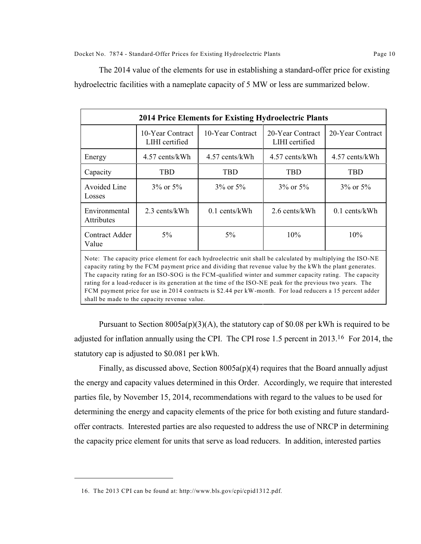The 2014 value of the elements for use in establishing a standard-offer price for existing hydroelectric facilities with a nameplate capacity of 5 MW or less are summarized below.

| <b>2014 Price Elements for Existing Hydroelectric Plants</b>                                                                                                                                                                 |                                    |                  |                                    |                  |
|------------------------------------------------------------------------------------------------------------------------------------------------------------------------------------------------------------------------------|------------------------------------|------------------|------------------------------------|------------------|
|                                                                                                                                                                                                                              | 10-Year Contract<br>LIHI certified | 10-Year Contract | 20-Year Contract<br>LIHI certified | 20-Year Contract |
| Energy                                                                                                                                                                                                                       | 4.57 cents/kWh                     | 4.57 cents/kWh   | 4.57 cents/kWh                     | 4.57 cents/kWh   |
| Capacity                                                                                                                                                                                                                     | <b>TBD</b>                         | TBD              | TBD                                | TBD              |
| Avoided Line<br>Losses                                                                                                                                                                                                       | $3\%$ or $5\%$                     | $3\%$ or $5\%$   | $3\%$ or $5\%$                     | $3\%$ or $5\%$   |
| Environmental<br>Attributes                                                                                                                                                                                                  | 2.3 cents/kWh                      | $0.1$ cents/kWh  | 2.6 cents/kWh                      | $0.1$ cents/kWh  |
| Contract Adder<br>Value                                                                                                                                                                                                      | $5\%$                              | $5\%$            | 10%                                | 10%              |
| Note: The capacity price element for each hydroelectric unit shall be calculated by multiplying the ISO-NE<br>the company of the contract of the contract of the contract of the contract of the contract of the contract of |                                    |                  |                                    |                  |

capacity rating by the FCM payment price and dividing that revenue value by the kWh the plant generates. The capacity rating for an ISO-SOG is the FCM-qualified winter and summer capacity rating. The capacity rating for a load-reducer is its generation at the time of the ISO-NE peak for the previous two years. The FCM payment price for use in 2014 contracts is \$2.44 per kW-month. For load reducers a 15 percent adder shall be made to the capacity revenue value.

Pursuant to Section  $8005a(p)(3)(A)$ , the statutory cap of \$0.08 per kWh is required to be adjusted for inflation annually using the CPI. The CPI rose 1.5 percent in 2013.<sup>16</sup> For 2014, the statutory cap is adjusted to \$0.081 per kWh.

Finally, as discussed above, Section  $8005a(p)(4)$  requires that the Board annually adjust the energy and capacity values determined in this Order. Accordingly, we require that interested parties file, by November 15, 2014, recommendations with regard to the values to be used for determining the energy and capacity elements of the price for both existing and future standardoffer contracts. Interested parties are also requested to address the use of NRCP in determining the capacity price element for units that serve as load reducers. In addition, interested parties

<sup>16.</sup> The 2013 CPI can be found at: http://www.bls.gov/cpi/cpid1312.pdf.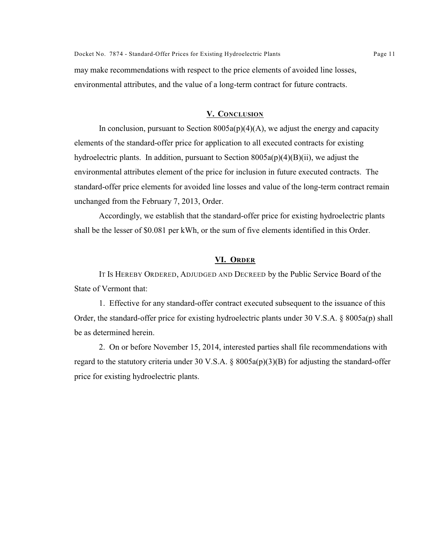may make recommendations with respect to the price elements of avoided line losses, environmental attributes, and the value of a long-term contract for future contracts.

## **V. CONCLUSION**

In conclusion, pursuant to Section  $8005a(p)(4)(A)$ , we adjust the energy and capacity elements of the standard-offer price for application to all executed contracts for existing hydroelectric plants. In addition, pursuant to Section  $8005a(p)(4)(B)(ii)$ , we adjust the environmental attributes element of the price for inclusion in future executed contracts. The standard-offer price elements for avoided line losses and value of the long-term contract remain unchanged from the February 7, 2013, Order.

Accordingly, we establish that the standard-offer price for existing hydroelectric plants shall be the lesser of \$0.081 per kWh, or the sum of five elements identified in this Order.

#### **VI. ORDER**

IT IS HEREBY ORDERED, ADJUDGED AND DECREED by the Public Service Board of the State of Vermont that:

1. Effective for any standard-offer contract executed subsequent to the issuance of this Order, the standard-offer price for existing hydroelectric plants under 30 V.S.A. § 8005a(p) shall be as determined herein.

2. On or before November 15, 2014, interested parties shall file recommendations with regard to the statutory criteria under 30 V.S.A.  $\S 8005a(p)(3)(B)$  for adjusting the standard-offer price for existing hydroelectric plants.